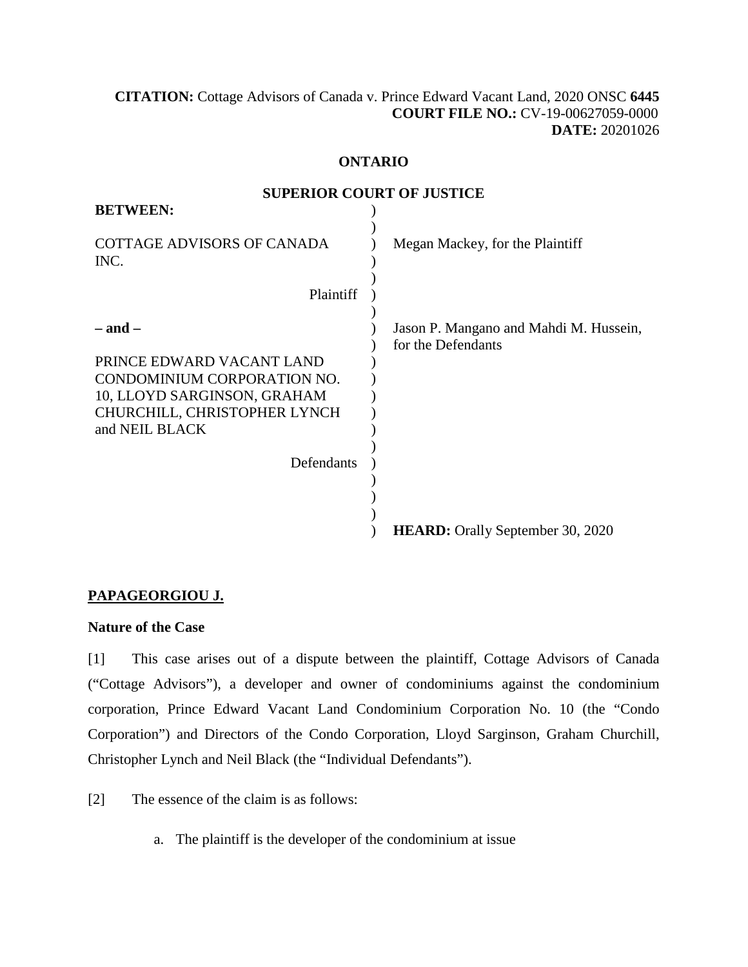### **[CITATION:](http://intra.judicialsecurity.jus.gov.on.ca/NeutralCitation/)** Cottage Advisors of Canada v. Prince Edward Vacant Land, 2020 ONSC **6445 COURT FILE NO.:** CV-19-00627059-0000 **DATE:** 20201026

#### **ONTARIO**

**SUPERIOR COURT OF HISTICE** 

| <b>BETWEEN:</b>                                                                                                                                                    | л шион сосні от торітся                                      |
|--------------------------------------------------------------------------------------------------------------------------------------------------------------------|--------------------------------------------------------------|
| <b>COTTAGE ADVISORS OF CANADA</b><br>INC.                                                                                                                          | Megan Mackey, for the Plaintiff                              |
| Plaintiff                                                                                                                                                          |                                                              |
| – and –<br>PRINCE EDWARD VACANT LAND<br>CONDOMINIUM CORPORATION NO.<br>10, LLOYD SARGINSON, GRAHAM<br>CHURCHILL, CHRISTOPHER LYNCH<br>and NEIL BLACK<br>Defendants | Jason P. Mangano and Mahdi M. Hussein,<br>for the Defendants |
|                                                                                                                                                                    | <b>HEARD:</b> Orally September 30, 2020                      |

# **PAPAGEORGIOU J.**

### **Nature of the Case**

[1] This case arises out of a dispute between the plaintiff, Cottage Advisors of Canada ("Cottage Advisors"), a developer and owner of condominiums against the condominium corporation, Prince Edward Vacant Land Condominium Corporation No. 10 (the "Condo Corporation") and Directors of the Condo Corporation, Lloyd Sarginson, Graham Churchill, Christopher Lynch and Neil Black (the "Individual Defendants").

[2] The essence of the claim is as follows:

a. The plaintiff is the developer of the condominium at issue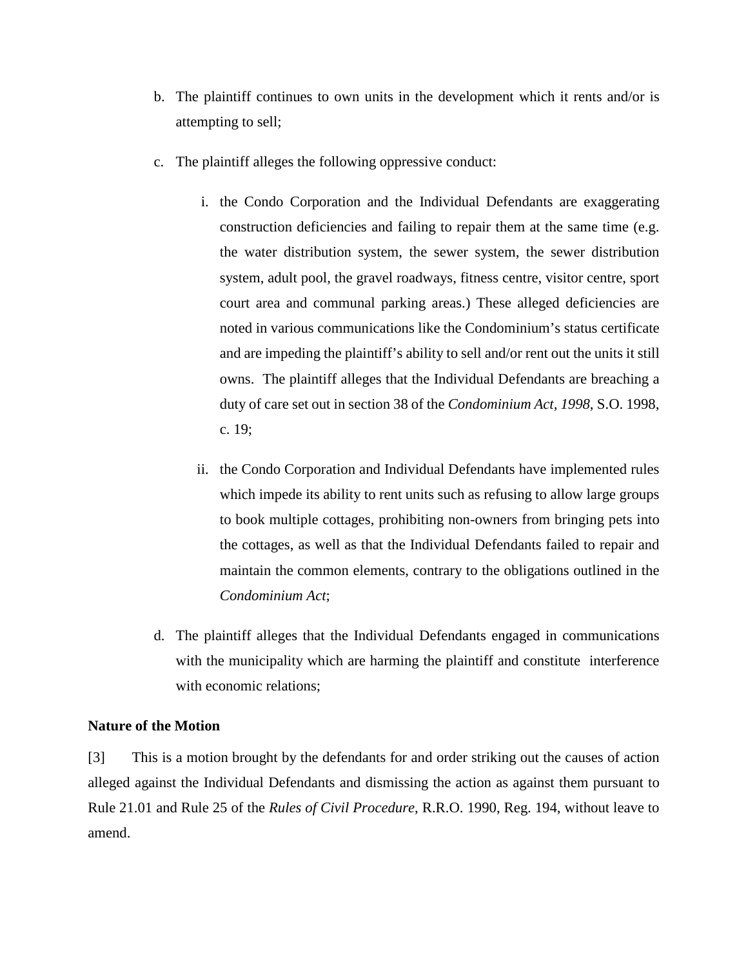- b. The plaintiff continues to own units in the development which it rents and/or is attempting to sell;
- c. The plaintiff alleges the following oppressive conduct:
	- i. the Condo Corporation and the Individual Defendants are exaggerating construction deficiencies and failing to repair them at the same time (e.g. the water distribution system, the sewer system, the sewer distribution system, adult pool, the gravel roadways, fitness centre, visitor centre, sport court area and communal parking areas.) These alleged deficiencies are noted in various communications like the Condominium's status certificate and are impeding the plaintiff's ability to sell and/or rent out the units it still owns. The plaintiff alleges that the Individual Defendants are breaching a duty of care set out in section 38 of the *Condominium Act, 1998*, S.O. 1998, c. 19;
	- ii. the Condo Corporation and Individual Defendants have implemented rules which impede its ability to rent units such as refusing to allow large groups to book multiple cottages, prohibiting non-owners from bringing pets into the cottages, as well as that the Individual Defendants failed to repair and maintain the common elements, contrary to the obligations outlined in the *Condominium Act*;
- d. The plaintiff alleges that the Individual Defendants engaged in communications with the municipality which are harming the plaintiff and constitute interference with economic relations;

### **Nature of the Motion**

[3] This is a motion brought by the defendants for and order striking out the causes of action alleged against the Individual Defendants and dismissing the action as against them pursuant to Rule 21.01 and Rule 25 of the *Rules of Civil Procedure*, R.R.O. 1990, Reg. 194, without leave to amend.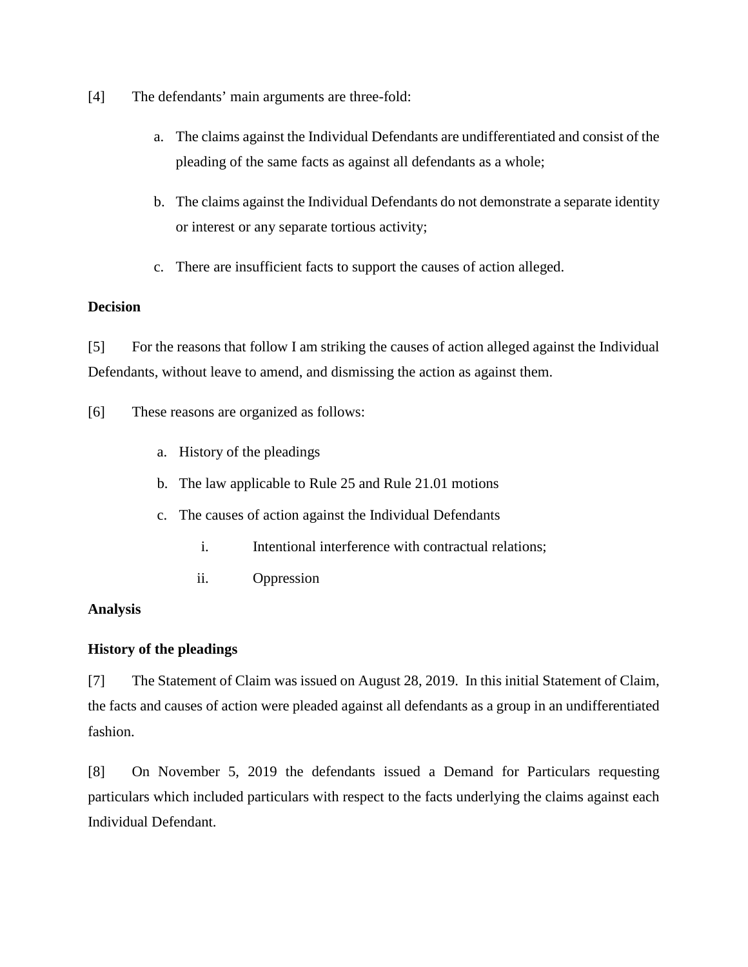- [4] The defendants' main arguments are three-fold:
	- a. The claims against the Individual Defendants are undifferentiated and consist of the pleading of the same facts as against all defendants as a whole;
	- b. The claims against the Individual Defendants do not demonstrate a separate identity or interest or any separate tortious activity;
	- c. There are insufficient facts to support the causes of action alleged.

## **Decision**

[5] For the reasons that follow I am striking the causes of action alleged against the Individual Defendants, without leave to amend, and dismissing the action as against them.

[6] These reasons are organized as follows:

- a. History of the pleadings
- b. The law applicable to Rule 25 and Rule 21.01 motions
- c. The causes of action against the Individual Defendants
	- i. Intentional interference with contractual relations;
	- ii. Oppression

### **Analysis**

# **History of the pleadings**

[7] The Statement of Claim was issued on August 28, 2019. In this initial Statement of Claim, the facts and causes of action were pleaded against all defendants as a group in an undifferentiated fashion.

[8] On November 5, 2019 the defendants issued a Demand for Particulars requesting particulars which included particulars with respect to the facts underlying the claims against each Individual Defendant.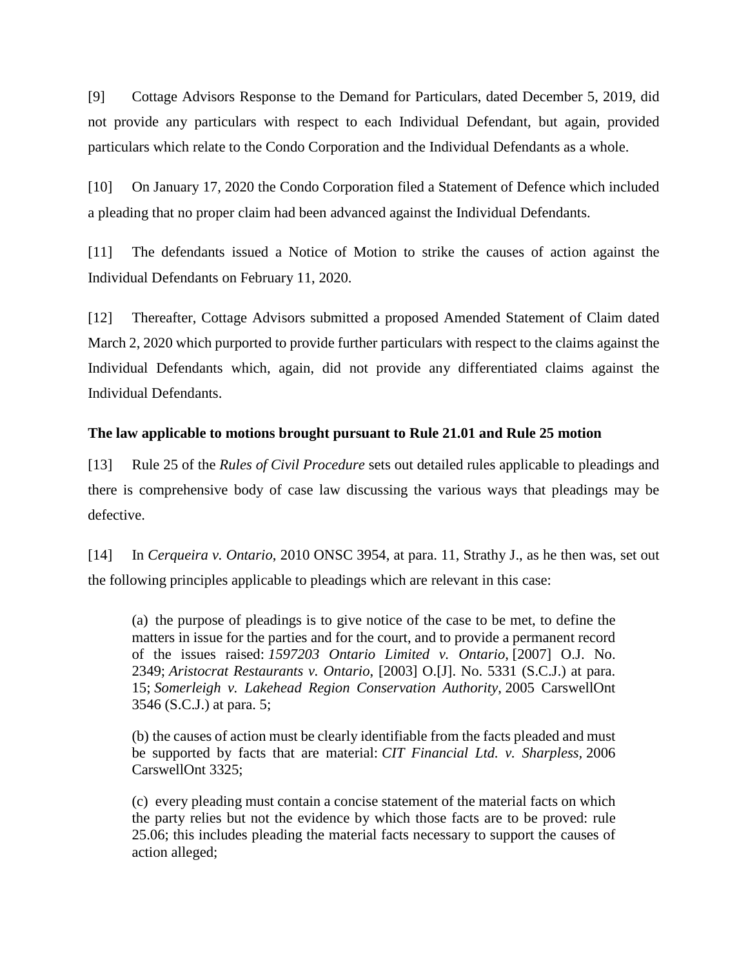[9] Cottage Advisors Response to the Demand for Particulars, dated December 5, 2019, did not provide any particulars with respect to each Individual Defendant, but again, provided particulars which relate to the Condo Corporation and the Individual Defendants as a whole.

[10] On January 17, 2020 the Condo Corporation filed a Statement of Defence which included a pleading that no proper claim had been advanced against the Individual Defendants.

[11] The defendants issued a Notice of Motion to strike the causes of action against the Individual Defendants on February 11, 2020.

[12] Thereafter, Cottage Advisors submitted a proposed Amended Statement of Claim dated March 2, 2020 which purported to provide further particulars with respect to the claims against the Individual Defendants which, again, did not provide any differentiated claims against the Individual Defendants.

# **The law applicable to motions brought pursuant to Rule 21.01 and Rule 25 motion**

[13] Rule 25 of the *Rules of Civil Procedure* sets out detailed rules applicable to pleadings and there is comprehensive body of case law discussing the various ways that pleadings may be defective.

[14] In *Cerqueira v. Ontario*, 2010 ONSC 3954, at para. 11, Strathy J., as he then was, set out the following principles applicable to pleadings which are relevant in this case:

(a) the purpose of pleadings is to give notice of the case to be met, to define the matters in issue for the parties and for the court, and to provide a permanent record of the issues raised: *1597203 Ontario Limited v. Ontario*, [2007] O.J. No. 2349; *Aristocrat Restaurants v. Ontario*, [2003] O.[J]. No. 5331 (S.C.J.) at para. 15; *Somerleigh v. Lakehead Region Conservation Authority*, 2005 CarswellOnt 3546 (S.C.J.) at para. 5;

(b) the causes of action must be clearly identifiable from the facts pleaded and must be supported by facts that are material: *CIT Financial Ltd. v. Sharpless,* 2006 CarswellOnt 3325;

(c) every pleading must contain a concise statement of the material facts on which the party relies but not the evidence by which those facts are to be proved: rule 25.06; this includes pleading the material facts necessary to support the causes of action alleged;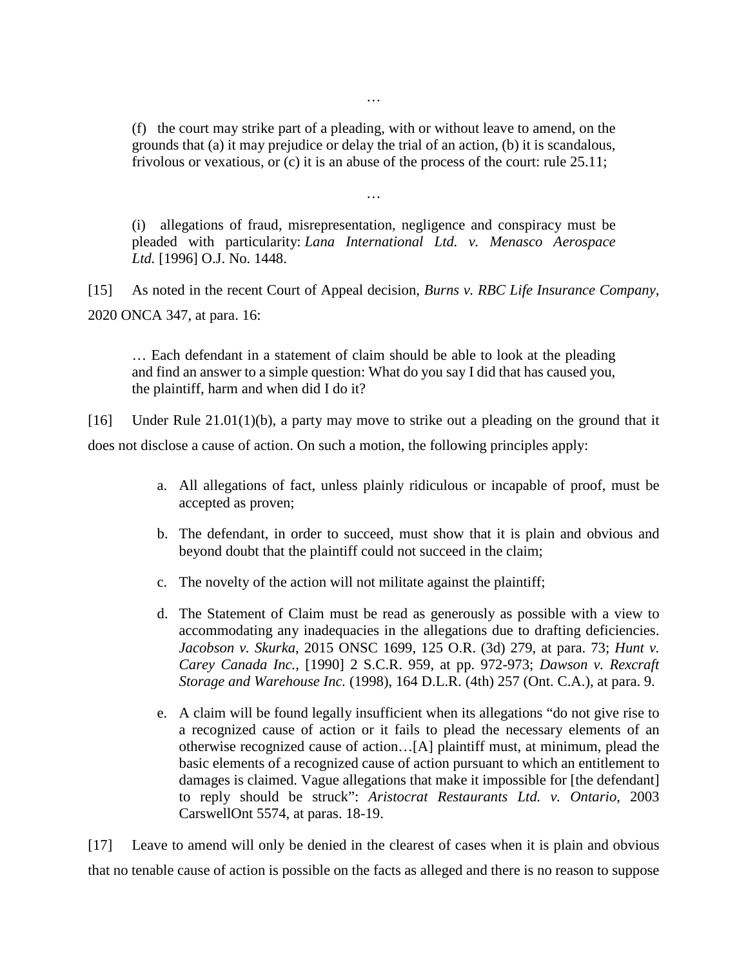(f) the court may strike part of a pleading, with or without leave to amend, on the grounds that (a) it may prejudice or delay the trial of an action, (b) it is scandalous, frivolous or vexatious, or (c) it is an abuse of the process of the court: rule 25.11;

…

(i) allegations of fraud, misrepresentation, negligence and conspiracy must be pleaded with particularity: *Lana International Ltd. v. Menasco Aerospace Ltd.* [1996] O.J. No. 1448.

[15] As noted in the recent Court of Appeal decision, *Burns v. RBC Life Insurance Company*, 2020 ONCA 347, at para. 16:

… Each defendant in a statement of claim should be able to look at the pleading and find an answer to a simple question: What do you say I did that has caused you, the plaintiff, harm and when did I do it?

[16] Under Rule 21.01(1)(b), a party may move to strike out a pleading on the ground that it does not disclose a cause of action. On such a motion, the following principles apply:

- a. All allegations of fact, unless plainly ridiculous or incapable of proof, must be accepted as proven;
- b. The defendant, in order to succeed, must show that it is plain and obvious and beyond doubt that the plaintiff could not succeed in the claim;
- c. The novelty of the action will not militate against the plaintiff;
- d. The Statement of Claim must be read as generously as possible with a view to accommodating any inadequacies in the allegations due to drafting deficiencies. *Jacobson v. Skurka*, 2015 ONSC 1699, 125 O.R. (3d) 279, at para. 73; *Hunt v. Carey Canada Inc.*, [1990] 2 S.C.R. 959, at pp. 972-973; *Dawson v. Rexcraft Storage and Warehouse Inc.* (1998), 164 D.L.R. (4th) 257 (Ont. C.A.), at para. 9.
- e. A claim will be found legally insufficient when its allegations "do not give rise to a recognized cause of action or it fails to plead the necessary elements of an otherwise recognized cause of action…[A] plaintiff must, at minimum, plead the basic elements of a recognized cause of action pursuant to which an entitlement to damages is claimed. Vague allegations that make it impossible for [the defendant] to reply should be struck": *Aristocrat Restaurants Ltd. v. Ontario*, 2003 CarswellOnt 5574, at paras. 18-19.

[17] Leave to amend will only be denied in the clearest of cases when it is plain and obvious that no tenable cause of action is possible on the facts as alleged and there is no reason to suppose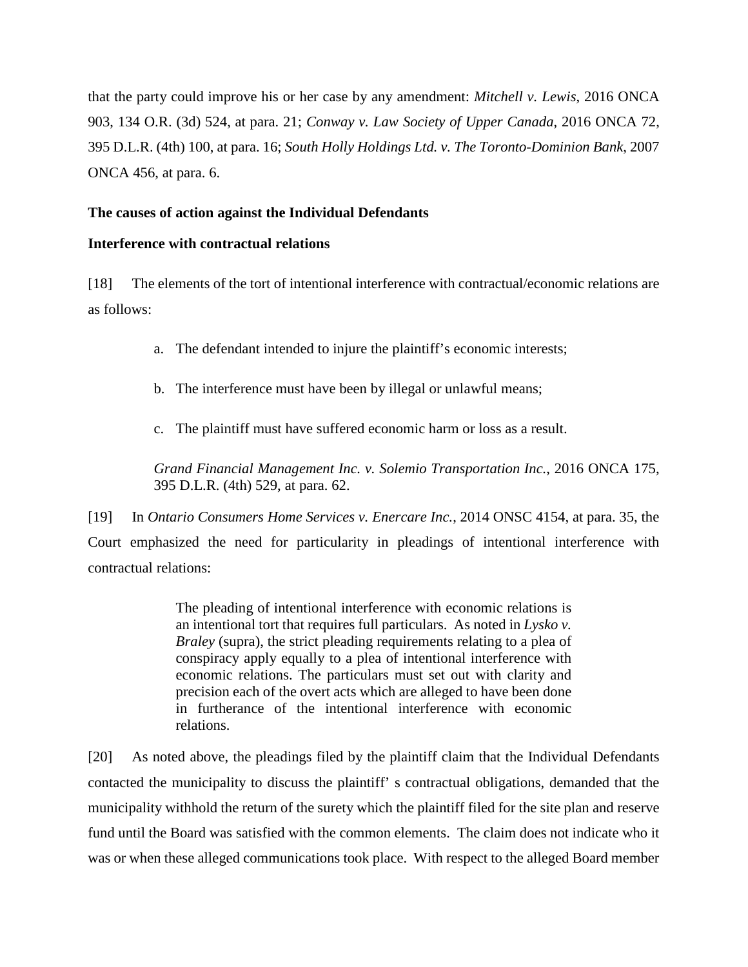that the party could improve his or her case by any amendment: *Mitchell v. Lewis*, 2016 ONCA 903, 134 O.R. (3d) 524, at para. 21; *Conway v. Law Society of Upper Canada*, 2016 ONCA 72, 395 D.L.R. (4th) 100, at para. 16; *South Holly Holdings Ltd. v. The Toronto-Dominion Bank*, 2007 ONCA 456, at para. 6.

# **The causes of action against the Individual Defendants**

## **Interference with contractual relations**

[18] The elements of the tort of intentional interference with contractual/economic relations are as follows:

- a. The defendant intended to injure the plaintiff's economic interests;
- b. The interference must have been by illegal or unlawful means;
- c. The plaintiff must have suffered economic harm or loss as a result.

*Grand Financial Management Inc. v. Solemio Transportation Inc.*, 2016 ONCA 175, 395 D.L.R. (4th) 529, at para. 62.

[19] In *Ontario Consumers Home Services v. Enercare Inc.*, 2014 ONSC 4154, at para. 35, the Court emphasized the need for particularity in pleadings of intentional interference with contractual relations:

> The pleading of intentional interference with economic relations is an intentional tort that requires full particulars. As noted in *Lysko v. Braley* (supra), the strict pleading requirements relating to a plea of conspiracy apply equally to a plea of intentional interference with economic relations. The particulars must set out with clarity and precision each of the overt acts which are alleged to have been done in furtherance of the intentional interference with economic relations.

[20] As noted above, the pleadings filed by the plaintiff claim that the Individual Defendants contacted the municipality to discuss the plaintiff' s contractual obligations, demanded that the municipality withhold the return of the surety which the plaintiff filed for the site plan and reserve fund until the Board was satisfied with the common elements. The claim does not indicate who it was or when these alleged communications took place. With respect to the alleged Board member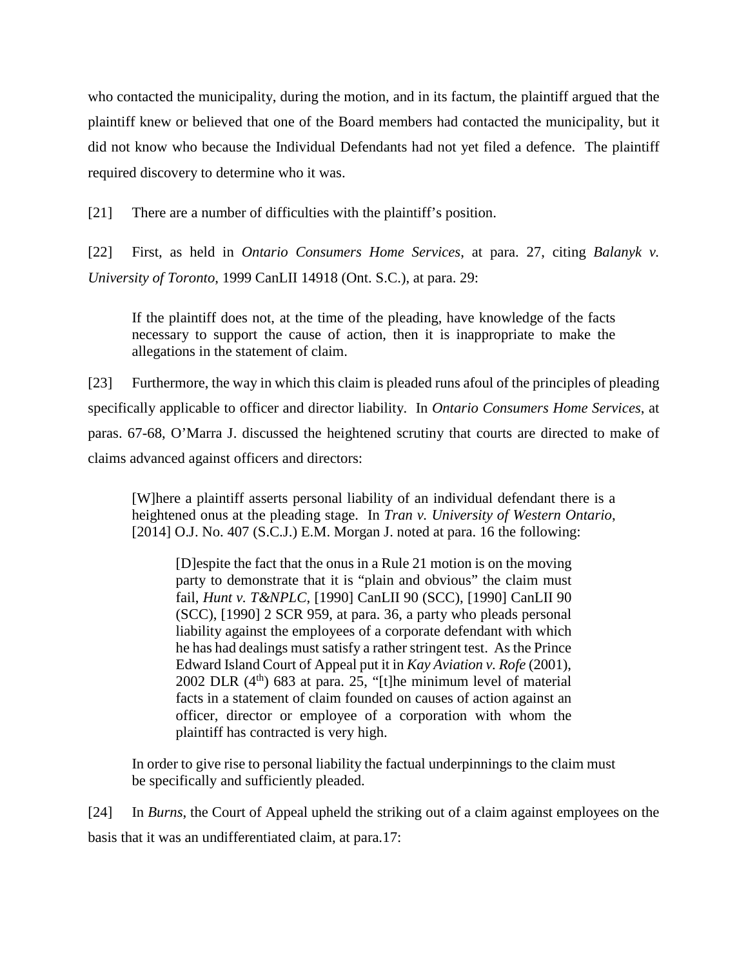who contacted the municipality, during the motion, and in its factum, the plaintiff argued that the plaintiff knew or believed that one of the Board members had contacted the municipality, but it did not know who because the Individual Defendants had not yet filed a defence. The plaintiff required discovery to determine who it was.

[21] There are a number of difficulties with the plaintiff's position.

[22] First, as held in *Ontario Consumers Home Services*, at para. 27, citing *Balanyk v. University of Toronto*, 1999 CanLII 14918 (Ont. S.C.), at para. 29:

If the plaintiff does not, at the time of the pleading, have knowledge of the facts necessary to support the cause of action, then it is inappropriate to make the allegations in the statement of claim.

[23] Furthermore, the way in which this claim is pleaded runs afoul of the principles of pleading specifically applicable to officer and director liability. In *Ontario Consumers Home Services*, at paras. 67-68, O'Marra J. discussed the heightened scrutiny that courts are directed to make of claims advanced against officers and directors:

[W]here a plaintiff asserts personal liability of an individual defendant there is a heightened onus at the pleading stage. In *Tran v. University of Western Ontario*,  $[2014]$  O.J. No. 407 (S.C.J.) E.M. Morgan J. noted at para. 16 the following:

[D]espite the fact that the onus in a Rule 21 motion is on the moving party to demonstrate that it is "plain and obvious" the claim must fail, *Hunt v. T&NPLC*, [1990] CanLII 90 (SCC), [1990] CanLII 90 (SCC), [1990] 2 SCR 959, at para. 36, a party who pleads personal liability against the employees of a corporate defendant with which he has had dealings must satisfy a rather stringent test. As the Prince Edward Island Court of Appeal put it in *Kay Aviation v. Rofe* (2001), 2002 DLR  $(4<sup>th</sup>)$  683 at para. 25, "[t]he minimum level of material facts in a statement of claim founded on causes of action against an officer, director or employee of a corporation with whom the plaintiff has contracted is very high.

In order to give rise to personal liability the factual underpinnings to the claim must be specifically and sufficiently pleaded.

[24] In *Burns*, the Court of Appeal upheld the striking out of a claim against employees on the basis that it was an undifferentiated claim, at para.17: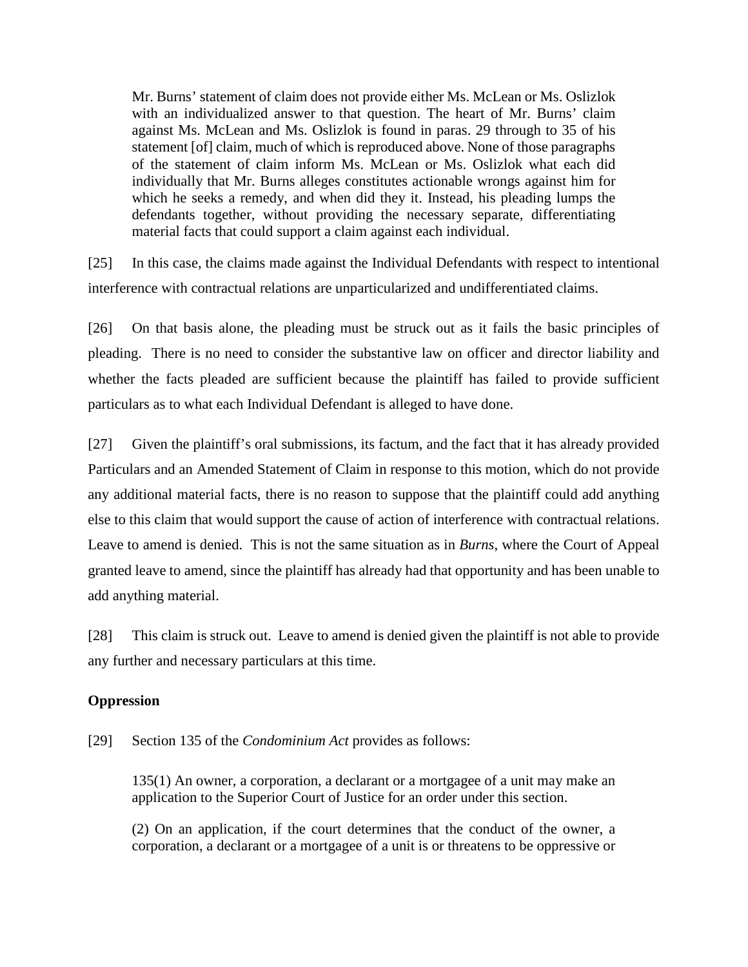Mr. Burns' statement of claim does not provide either Ms. McLean or Ms. Oslizlok with an individualized answer to that question. The heart of Mr. Burns' claim against Ms. McLean and Ms. Oslizlok is found in paras. 29 through to 35 of his statement [of] claim, much of which is reproduced above. None of those paragraphs of the statement of claim inform Ms. McLean or Ms. Oslizlok what each did individually that Mr. Burns alleges constitutes actionable wrongs against him for which he seeks a remedy, and when did they it. Instead, his pleading lumps the defendants together, without providing the necessary separate, differentiating material facts that could support a claim against each individual.

[25] In this case, the claims made against the Individual Defendants with respect to intentional interference with contractual relations are unparticularized and undifferentiated claims.

[26] On that basis alone, the pleading must be struck out as it fails the basic principles of pleading. There is no need to consider the substantive law on officer and director liability and whether the facts pleaded are sufficient because the plaintiff has failed to provide sufficient particulars as to what each Individual Defendant is alleged to have done.

[27] Given the plaintiff's oral submissions, its factum, and the fact that it has already provided Particulars and an Amended Statement of Claim in response to this motion, which do not provide any additional material facts, there is no reason to suppose that the plaintiff could add anything else to this claim that would support the cause of action of interference with contractual relations. Leave to amend is denied. This is not the same situation as in *Burns*, where the Court of Appeal granted leave to amend, since the plaintiff has already had that opportunity and has been unable to add anything material.

[28] This claim is struck out. Leave to amend is denied given the plaintiff is not able to provide any further and necessary particulars at this time.

### **Oppression**

[29] Section 135 of the *Condominium Act* provides as follows:

135(1) An owner, a corporation, a declarant or a mortgagee of a unit may make an application to the Superior Court of Justice for an order under this section.

(2) On an application, if the court determines that the conduct of the owner, a corporation, a declarant or a mortgagee of a unit is or threatens to be oppressive or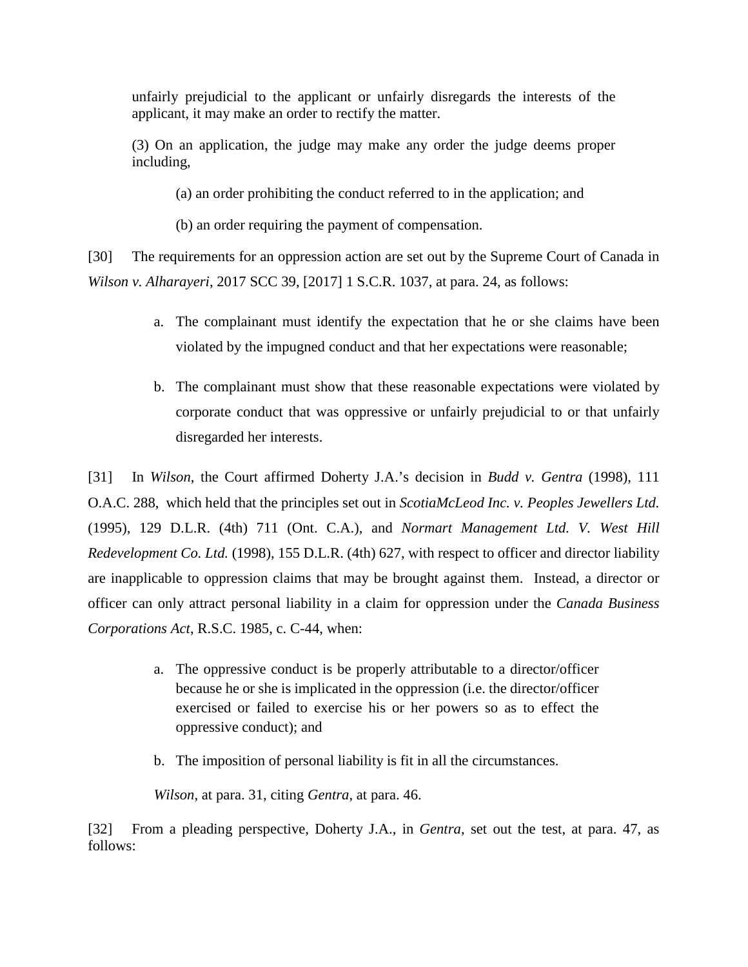unfairly prejudicial to the applicant or unfairly disregards the interests of the applicant, it may make an order to rectify the matter.

(3) On an application, the judge may make any order the judge deems proper including,

(a) an order prohibiting the conduct referred to in the application; and

(b) an order requiring the payment of compensation.

[30] The requirements for an oppression action are set out by the Supreme Court of Canada in *Wilson v. Alharayeri*, 2017 SCC 39, [2017] 1 S.C.R. 1037, at para. 24, as follows:

- a. The complainant must identify the expectation that he or she claims have been violated by the impugned conduct and that her expectations were reasonable;
- b. The complainant must show that these reasonable expectations were violated by corporate conduct that was oppressive or unfairly prejudicial to or that unfairly disregarded her interests.

[31] In *Wilson*, the Court affirmed Doherty J.A.'s decision in *Budd v. Gentra* (1998), 111 O.A.C. 288, which held that the principles set out in *ScotiaMcLeod Inc. v. Peoples Jewellers Ltd.* (1995), 129 D.L.R. (4th) 711 (Ont. C.A.), and *Normart Management Ltd. V. West Hill Redevelopment Co. Ltd.* (1998), 155 D.L.R. (4th) 627, with respect to officer and director liability are inapplicable to oppression claims that may be brought against them. Instead, a director or officer can only attract personal liability in a claim for oppression under the *Canada Business Corporations Act*, R.S.C. 1985, c. C-44, when:

- a. The oppressive conduct is be properly attributable to a director/officer because he or she is implicated in the oppression (i.e. the director/officer exercised or failed to exercise his or her powers so as to effect the oppressive conduct); and
- b. The imposition of personal liability is fit in all the circumstances.

*Wilson*, at para. 31, citing *Gentra*, at para. 46.

[32] From a pleading perspective, Doherty J.A., in *Gentra*, set out the test, at para. 47, as follows: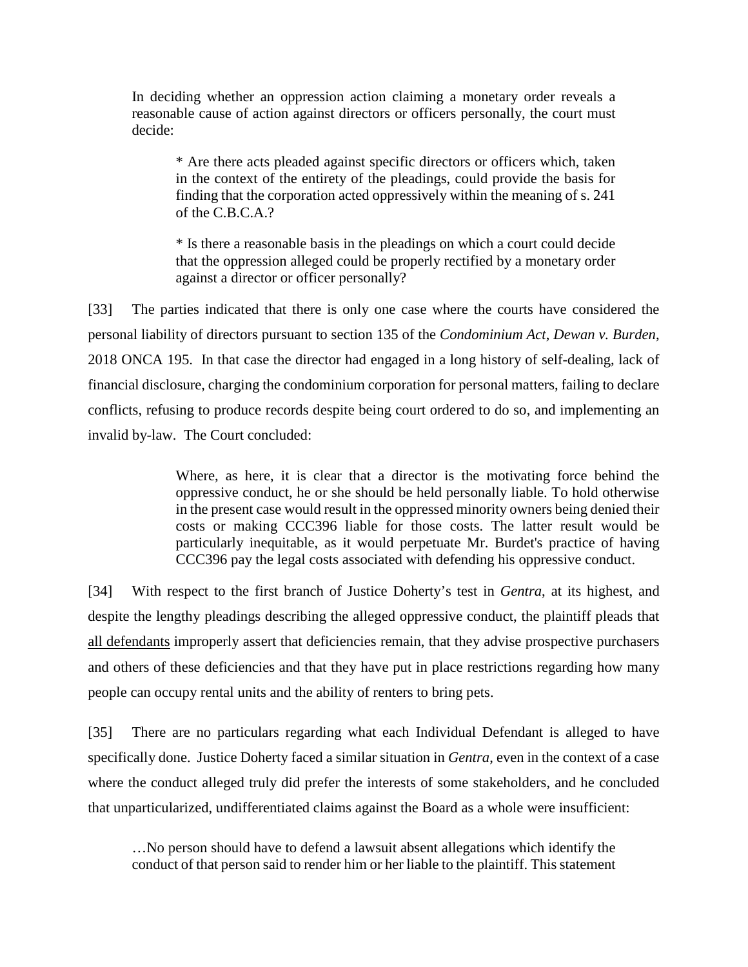In deciding whether an oppression action claiming a monetary order reveals a reasonable cause of action against directors or officers personally, the court must decide:

\* Are there acts pleaded against specific directors or officers which, taken in the context of the entirety of the pleadings, could provide the basis for finding that the corporation acted oppressively within the meaning of s. 241 of the C.B.C.A.?

\* Is there a reasonable basis in the pleadings on which a court could decide that the oppression alleged could be properly rectified by a monetary order against a director or officer personally?

[33] The parties indicated that there is only one case where the courts have considered the personal liability of directors pursuant to section 135 of the *Condominium Act*, *Dewan v. Burden*, 2018 ONCA 195. In that case the director had engaged in a long history of self-dealing, lack of financial disclosure, charging the condominium corporation for personal matters, failing to declare conflicts, refusing to produce records despite being court ordered to do so, and implementing an invalid by-law. The Court concluded:

> Where, as here, it is clear that a director is the motivating force behind the oppressive conduct, he or she should be held personally liable. To hold otherwise in the present case would result in the oppressed minority owners being denied their costs or making CCC396 liable for those costs. The latter result would be particularly inequitable, as it would perpetuate Mr. Burdet's practice of having CCC396 pay the legal costs associated with defending his oppressive conduct.

[34] With respect to the first branch of Justice Doherty's test in *Gentra*, at its highest, and despite the lengthy pleadings describing the alleged oppressive conduct, the plaintiff pleads that all defendants improperly assert that deficiencies remain, that they advise prospective purchasers and others of these deficiencies and that they have put in place restrictions regarding how many people can occupy rental units and the ability of renters to bring pets.

[35] There are no particulars regarding what each Individual Defendant is alleged to have specifically done. Justice Doherty faced a similar situation in *Gentra*, even in the context of a case where the conduct alleged truly did prefer the interests of some stakeholders, and he concluded that unparticularized, undifferentiated claims against the Board as a whole were insufficient:

…No person should have to defend a lawsuit absent allegations which identify the conduct of that person said to render him or her liable to the plaintiff. This statement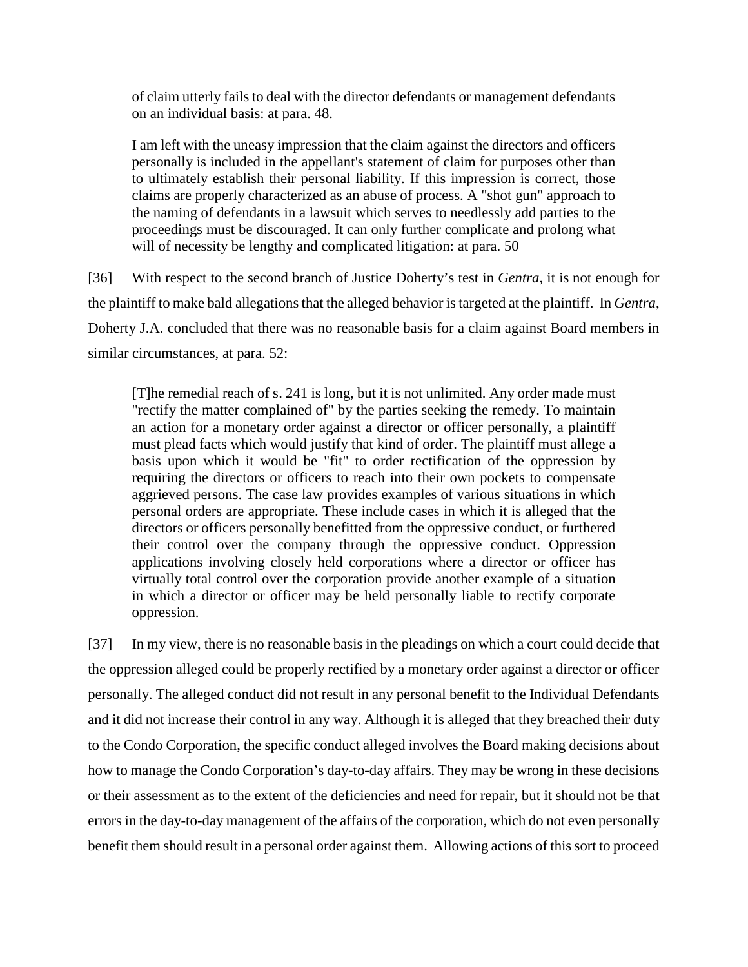of claim utterly fails to deal with the director defendants or management defendants on an individual basis: at para. 48.

I am left with the uneasy impression that the claim against the directors and officers personally is included in the appellant's statement of claim for purposes other than to ultimately establish their personal liability. If this impression is correct, those claims are properly characterized as an abuse of process. A "shot gun" approach to the naming of defendants in a lawsuit which serves to needlessly add parties to the proceedings must be discouraged. It can only further complicate and prolong what will of necessity be lengthy and complicated litigation: at para. 50

[36] With respect to the second branch of Justice Doherty's test in *Gentra*, it is not enough for the plaintiff to make bald allegations that the alleged behavior is targeted at the plaintiff. In *Gentra*, Doherty J.A. concluded that there was no reasonable basis for a claim against Board members in similar circumstances, at para. 52:

[T]he remedial reach of s. 241 is long, but it is not unlimited. Any order made must "rectify the matter complained of" by the parties seeking the remedy. To maintain an action for a monetary order against a director or officer personally, a plaintiff must plead facts which would justify that kind of order. The plaintiff must allege a basis upon which it would be "fit" to order rectification of the oppression by requiring the directors or officers to reach into their own pockets to compensate aggrieved persons. The case law provides examples of various situations in which personal orders are appropriate. These include cases in which it is alleged that the directors or officers personally benefitted from the oppressive conduct, or furthered their control over the company through the oppressive conduct. Oppression applications involving closely held corporations where a director or officer has virtually total control over the corporation provide another example of a situation in which a director or officer may be held personally liable to rectify corporate oppression.

[37] In my view, there is no reasonable basis in the pleadings on which a court could decide that the oppression alleged could be properly rectified by a monetary order against a director or officer personally. The alleged conduct did not result in any personal benefit to the Individual Defendants and it did not increase their control in any way. Although it is alleged that they breached their duty to the Condo Corporation, the specific conduct alleged involves the Board making decisions about how to manage the Condo Corporation's day-to-day affairs. They may be wrong in these decisions or their assessment as to the extent of the deficiencies and need for repair, but it should not be that errors in the day-to-day management of the affairs of the corporation, which do not even personally benefit them should result in a personal order against them. Allowing actions of this sort to proceed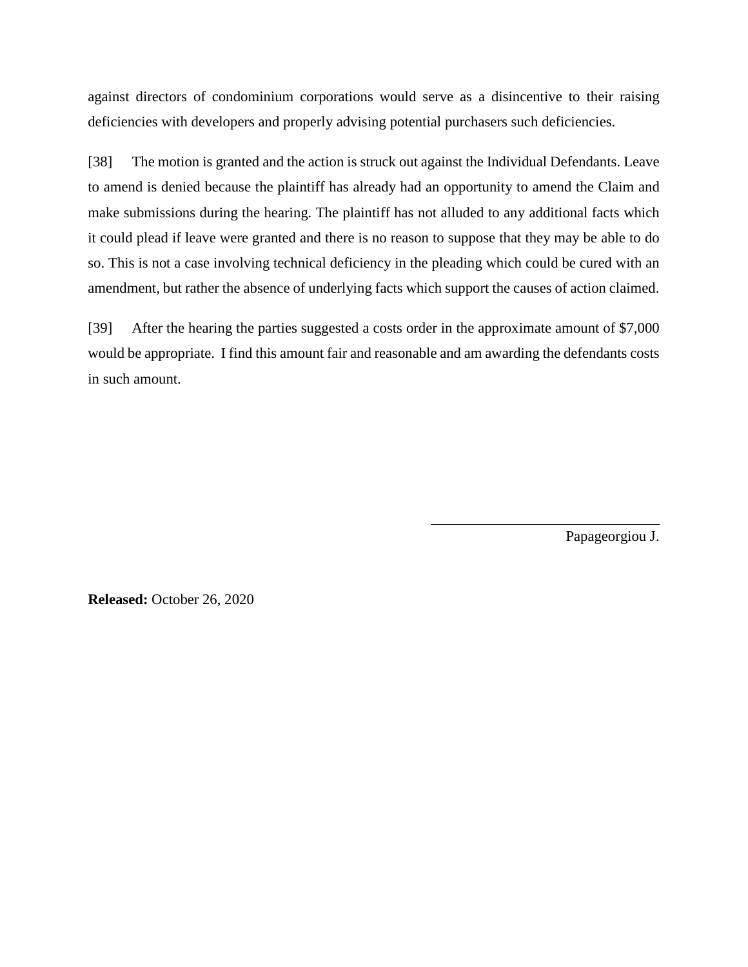against directors of condominium corporations would serve as a disincentive to their raising deficiencies with developers and properly advising potential purchasers such deficiencies.

[38] The motion is granted and the action is struck out against the Individual Defendants. Leave to amend is denied because the plaintiff has already had an opportunity to amend the Claim and make submissions during the hearing. The plaintiff has not alluded to any additional facts which it could plead if leave were granted and there is no reason to suppose that they may be able to do so. This is not a case involving technical deficiency in the pleading which could be cured with an amendment, but rather the absence of underlying facts which support the causes of action claimed.

[39] After the hearing the parties suggested a costs order in the approximate amount of \$7,000 would be appropriate. I find this amount fair and reasonable and am awarding the defendants costs in such amount.

Papageorgiou J.

**Released:** October 26, 2020